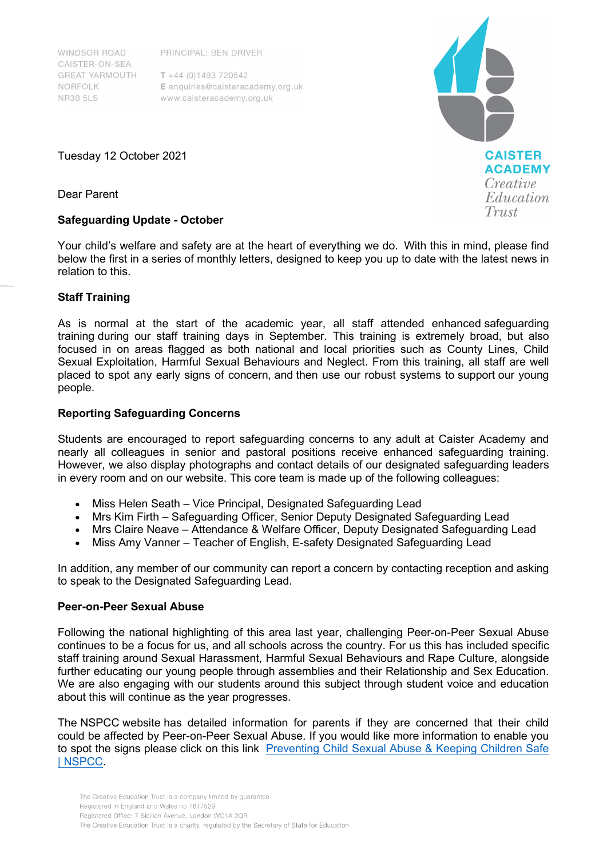**WINDSOR ROAD** CAISTER-ON-SEA **GREAT YARMOUTH** NORFOLK **NR30 5LS** 

PRINCIPAL: BEN DRIVER

 $T + 44 (0)1493 720542$ E enquiries@caisteracademy.org.uk www.caisteracademy.org.uk



Tuesday 12 October 2021

Dear Parent

## **Safeguarding Update - October**

Your child's welfare and safety are at the heart of everything we do.  With this in mind, please find below the first in a series of monthly letters, designed to keep you up to date with the latest news in relation to this.

# **Staff Training**

As is normal at the start of the academic year, all staff attended enhanced safeguarding training during our staff training days in September. This training is extremely broad, but also focused in on areas flagged as both national and local priorities such as County Lines, Child Sexual Exploitation, Harmful Sexual Behaviours and Neglect. From this training, all staff are well placed to spot any early signs of concern, and then use our robust systems to support our young people.

## **Reporting Safeguarding Concerns**

Students are encouraged to report safeguarding concerns to any adult at Caister Academy and nearly all colleagues in senior and pastoral positions receive enhanced safeguarding training. However, we also display photographs and contact details of our designated safeguarding leaders in every room and on our website. This core team is made up of the following colleagues:

- Miss Helen Seath Vice Principal, Designated Safeguarding Lead
- Mrs Kim Firth Safeguarding Officer, Senior Deputy Designated Safeguarding Lead
- Mrs Claire Neave Attendance & Welfare Officer, Deputy Designated Safeguarding Lead
- Miss Amy Vanner Teacher of English, E-safety Designated Safeguarding Lead

In addition, any member of our community can report a concern by contacting reception and asking to speak to the Designated Safeguarding Lead.

### **Peer-on-Peer Sexual Abuse**

Following the national highlighting of this area last year, challenging Peer-on-Peer Sexual Abuse continues to be a focus for us, and all schools across the country. For us this has included specific staff training around Sexual Harassment, Harmful Sexual Behaviours and Rape Culture, alongside further educating our young people through assemblies and their Relationship and Sex Education. We are also engaging with our students around this subject through student voice and education about this will continue as the year progresses.

The NSPCC website has detailed information for parents if they are concerned that their child could be affected by Peer-on-Peer Sexual Abuse. If you would like more information to enable you to spot the signs please click on this link [Preventing Child Sexual Abuse & Keeping Children Safe](https://www.nspcc.org.uk/what-is-child-abuse/types-of-abuse/child-sexual-abuse/)  [| NSPCC.](https://www.nspcc.org.uk/what-is-child-abuse/types-of-abuse/child-sexual-abuse/)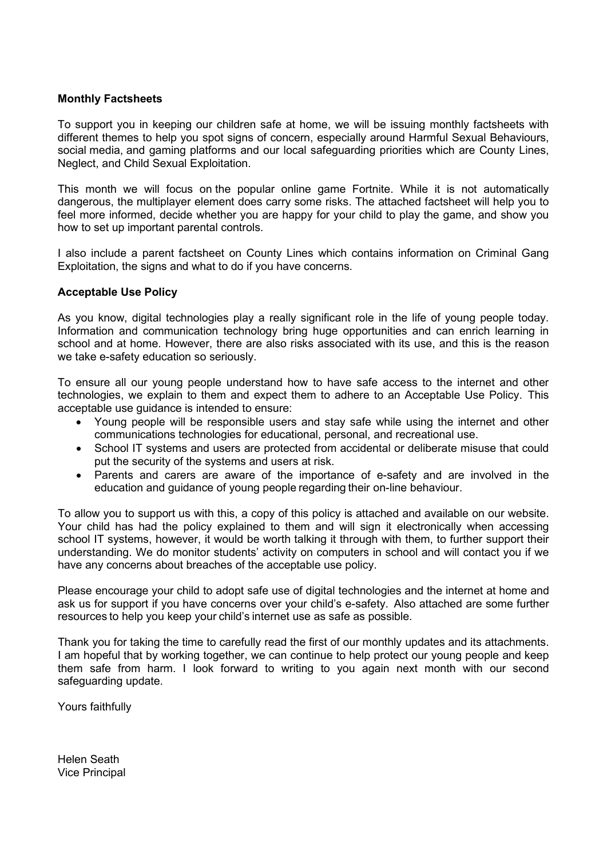### **Monthly Factsheets**

To support you in keeping our children safe at home, we will be issuing monthly factsheets with different themes to help you spot signs of concern, especially around Harmful Sexual Behaviours, social media, and gaming platforms and our local safeguarding priorities which are County Lines, Neglect, and Child Sexual Exploitation.

This month we will focus on the popular online game Fortnite. While it is not automatically dangerous, the multiplayer element does carry some risks. The attached factsheet will help you to feel more informed, decide whether you are happy for your child to play the game, and show you how to set up important parental controls.

I also include a parent factsheet on County Lines which contains information on Criminal Gang Exploitation, the signs and what to do if you have concerns.

### **Acceptable Use Policy**

As you know, digital technologies play a really significant role in the life of young people today. Information and communication technology bring huge opportunities and can enrich learning in school and at home. However, there are also risks associated with its use, and this is the reason we take e-safety education so seriously.

To ensure all our young people understand how to have safe access to the internet and other technologies, we explain to them and expect them to adhere to an Acceptable Use Policy. This acceptable use guidance is intended to ensure:

- Young people will be responsible users and stay safe while using the internet and other communications technologies for educational, personal, and recreational use.
- School IT systems and users are protected from accidental or deliberate misuse that could put the security of the systems and users at risk.
- Parents and carers are aware of the importance of e-safety and are involved in the education and guidance of young people regarding their on-line behaviour.

To allow you to support us with this, a copy of this policy is attached and available on our website. Your child has had the policy explained to them and will sign it electronically when accessing school IT systems, however, it would be worth talking it through with them, to further support their understanding. We do monitor students' activity on computers in school and will contact you if we have any concerns about breaches of the acceptable use policy.

Please encourage your child to adopt safe use of digital technologies and the internet at home and ask us for support if you have concerns over your child's e-safety. Also attached are some further resources to help you keep your child's internet use as safe as possible.

Thank you for taking the time to carefully read the first of our monthly updates and its attachments. I am hopeful that by working together, we can continue to help protect our young people and keep them safe from harm. I look forward to writing to you again next month with our second safeguarding update.

Yours faithfully  

Helen Seath  Vice Principal